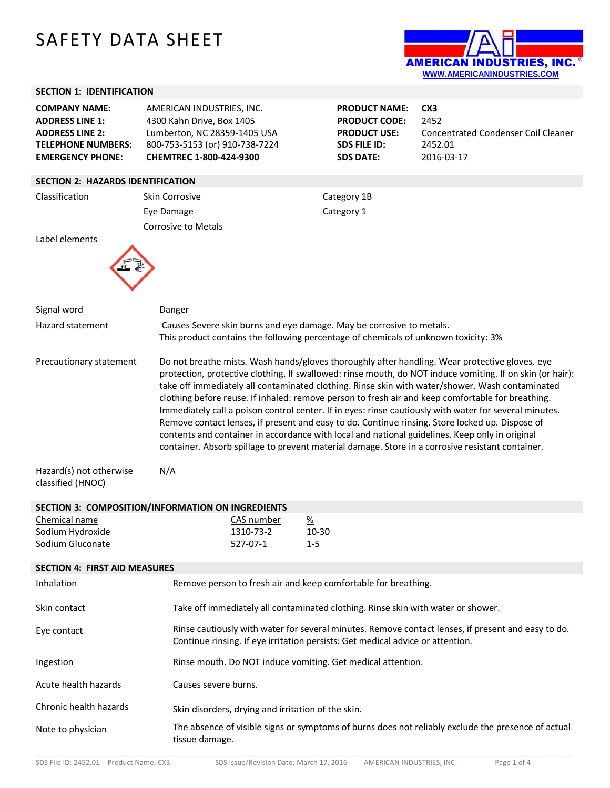## SAFETY DATA SHEET



## **SECTION 1: IDENTIFICATION**

| <b>COMPANY NAME:</b><br><b>ADDRESS LINE 1:</b><br><b>ADDRESS LINE 2:</b><br><b>TELEPHONE NUMBERS:</b><br><b>EMERGENCY PHONE:</b> | AMERICAN INDUSTRIES, INC.<br>4300 Kahn Drive, Box 1405<br>Lumberton, NC 28359-1405 USA<br>800-753-5153 (or) 910-738-7224<br>CHEMTREC 1-800-424-9300 |                                                                                                                                                                                                                                                                                                                                                                                                                                                                                                                                                                                                                                                                                                                                                                                                                                        | <b>PRODUCT NAME:</b><br><b>PRODUCT CODE:</b><br><b>PRODUCT USE:</b><br><b>SDS FILE ID:</b><br><b>SDS DATE:</b> | CX <sub>3</sub><br>2452<br><b>Concentrated Condenser Coil Cleaner</b><br>2452.01<br>2016-03-17     |  |
|----------------------------------------------------------------------------------------------------------------------------------|-----------------------------------------------------------------------------------------------------------------------------------------------------|----------------------------------------------------------------------------------------------------------------------------------------------------------------------------------------------------------------------------------------------------------------------------------------------------------------------------------------------------------------------------------------------------------------------------------------------------------------------------------------------------------------------------------------------------------------------------------------------------------------------------------------------------------------------------------------------------------------------------------------------------------------------------------------------------------------------------------------|----------------------------------------------------------------------------------------------------------------|----------------------------------------------------------------------------------------------------|--|
| <b>SECTION 2: HAZARDS IDENTIFICATION</b>                                                                                         |                                                                                                                                                     |                                                                                                                                                                                                                                                                                                                                                                                                                                                                                                                                                                                                                                                                                                                                                                                                                                        |                                                                                                                |                                                                                                    |  |
| Classification                                                                                                                   | <b>Skin Corrosive</b>                                                                                                                               |                                                                                                                                                                                                                                                                                                                                                                                                                                                                                                                                                                                                                                                                                                                                                                                                                                        | Category 1B                                                                                                    |                                                                                                    |  |
|                                                                                                                                  | Eye Damage                                                                                                                                          |                                                                                                                                                                                                                                                                                                                                                                                                                                                                                                                                                                                                                                                                                                                                                                                                                                        | Category 1                                                                                                     |                                                                                                    |  |
|                                                                                                                                  |                                                                                                                                                     |                                                                                                                                                                                                                                                                                                                                                                                                                                                                                                                                                                                                                                                                                                                                                                                                                                        |                                                                                                                |                                                                                                    |  |
| Label elements                                                                                                                   | <b>Corrosive to Metals</b>                                                                                                                          |                                                                                                                                                                                                                                                                                                                                                                                                                                                                                                                                                                                                                                                                                                                                                                                                                                        |                                                                                                                |                                                                                                    |  |
| Signal word                                                                                                                      | Danger                                                                                                                                              |                                                                                                                                                                                                                                                                                                                                                                                                                                                                                                                                                                                                                                                                                                                                                                                                                                        |                                                                                                                |                                                                                                    |  |
| Hazard statement                                                                                                                 |                                                                                                                                                     | Causes Severe skin burns and eye damage. May be corrosive to metals.<br>This product contains the following percentage of chemicals of unknown toxicity: 3%                                                                                                                                                                                                                                                                                                                                                                                                                                                                                                                                                                                                                                                                            |                                                                                                                |                                                                                                    |  |
| Precautionary statement<br>Hazard(s) not otherwise                                                                               | N/A                                                                                                                                                 | Do not breathe mists. Wash hands/gloves thoroughly after handling. Wear protective gloves, eye<br>protection, protective clothing. If swallowed: rinse mouth, do NOT induce vomiting. If on skin (or hair):<br>take off immediately all contaminated clothing. Rinse skin with water/shower. Wash contaminated<br>clothing before reuse. If inhaled: remove person to fresh air and keep comfortable for breathing.<br>Immediately call a poison control center. If in eyes: rinse cautiously with water for several minutes.<br>Remove contact lenses, if present and easy to do. Continue rinsing. Store locked up. Dispose of<br>contents and container in accordance with local and national guidelines. Keep only in original<br>container. Absorb spillage to prevent material damage. Store in a corrosive resistant container. |                                                                                                                |                                                                                                    |  |
| classified (HNOC)                                                                                                                |                                                                                                                                                     |                                                                                                                                                                                                                                                                                                                                                                                                                                                                                                                                                                                                                                                                                                                                                                                                                                        |                                                                                                                |                                                                                                    |  |
|                                                                                                                                  | SECTION 3: COMPOSITION/INFORMATION ON INGREDIENTS                                                                                                   |                                                                                                                                                                                                                                                                                                                                                                                                                                                                                                                                                                                                                                                                                                                                                                                                                                        |                                                                                                                |                                                                                                    |  |
| Chemical name                                                                                                                    | CAS number                                                                                                                                          | $\frac{\%}{\%}$                                                                                                                                                                                                                                                                                                                                                                                                                                                                                                                                                                                                                                                                                                                                                                                                                        |                                                                                                                |                                                                                                    |  |
| Sodium Hydroxide                                                                                                                 | 1310-73-2                                                                                                                                           | 10-30                                                                                                                                                                                                                                                                                                                                                                                                                                                                                                                                                                                                                                                                                                                                                                                                                                  |                                                                                                                |                                                                                                    |  |
| Sodium Gluconate                                                                                                                 | 527-07-1                                                                                                                                            | $1 - 5$                                                                                                                                                                                                                                                                                                                                                                                                                                                                                                                                                                                                                                                                                                                                                                                                                                |                                                                                                                |                                                                                                    |  |
|                                                                                                                                  |                                                                                                                                                     |                                                                                                                                                                                                                                                                                                                                                                                                                                                                                                                                                                                                                                                                                                                                                                                                                                        |                                                                                                                |                                                                                                    |  |
| <b>SECTION 4: FIRST AID MEASURES</b>                                                                                             |                                                                                                                                                     |                                                                                                                                                                                                                                                                                                                                                                                                                                                                                                                                                                                                                                                                                                                                                                                                                                        |                                                                                                                |                                                                                                    |  |
| Inhalation                                                                                                                       | Remove person to fresh air and keep comfortable for breathing.                                                                                      |                                                                                                                                                                                                                                                                                                                                                                                                                                                                                                                                                                                                                                                                                                                                                                                                                                        |                                                                                                                |                                                                                                    |  |
| Skin contact                                                                                                                     | Take off immediately all contaminated clothing. Rinse skin with water or shower.                                                                    |                                                                                                                                                                                                                                                                                                                                                                                                                                                                                                                                                                                                                                                                                                                                                                                                                                        |                                                                                                                |                                                                                                    |  |
| Eye contact                                                                                                                      | Continue rinsing. If eye irritation persists: Get medical advice or attention.                                                                      |                                                                                                                                                                                                                                                                                                                                                                                                                                                                                                                                                                                                                                                                                                                                                                                                                                        |                                                                                                                | Rinse cautiously with water for several minutes. Remove contact lenses, if present and easy to do. |  |
| Ingestion                                                                                                                        | Rinse mouth. Do NOT induce vomiting. Get medical attention.                                                                                         |                                                                                                                                                                                                                                                                                                                                                                                                                                                                                                                                                                                                                                                                                                                                                                                                                                        |                                                                                                                |                                                                                                    |  |
| Acute health hazards                                                                                                             | Causes severe burns.                                                                                                                                |                                                                                                                                                                                                                                                                                                                                                                                                                                                                                                                                                                                                                                                                                                                                                                                                                                        |                                                                                                                |                                                                                                    |  |
| Chronic health hazards                                                                                                           | Skin disorders, drying and irritation of the skin.                                                                                                  |                                                                                                                                                                                                                                                                                                                                                                                                                                                                                                                                                                                                                                                                                                                                                                                                                                        |                                                                                                                |                                                                                                    |  |
| Note to physician                                                                                                                | tissue damage.                                                                                                                                      |                                                                                                                                                                                                                                                                                                                                                                                                                                                                                                                                                                                                                                                                                                                                                                                                                                        |                                                                                                                | The absence of visible signs or symptoms of burns does not reliably exclude the presence of actual |  |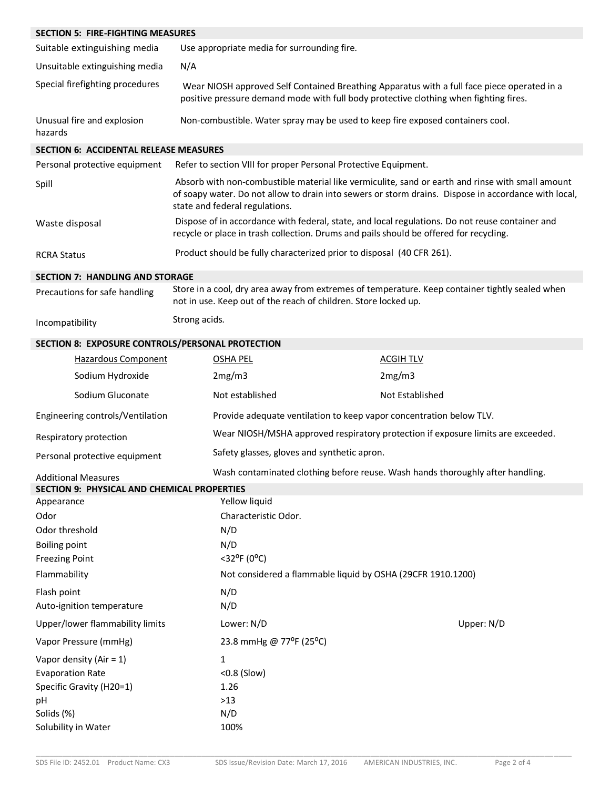| <b>SECTION 5: FIRE-FIGHTING MEASURES</b>           |                                                                                                                                                                    |                                                                                                                                                                                                          |  |  |
|----------------------------------------------------|--------------------------------------------------------------------------------------------------------------------------------------------------------------------|----------------------------------------------------------------------------------------------------------------------------------------------------------------------------------------------------------|--|--|
| Suitable extinguishing media                       | Use appropriate media for surrounding fire.                                                                                                                        |                                                                                                                                                                                                          |  |  |
| Unsuitable extinguishing media                     | N/A                                                                                                                                                                |                                                                                                                                                                                                          |  |  |
| Special firefighting procedures                    |                                                                                                                                                                    | Wear NIOSH approved Self Contained Breathing Apparatus with a full face piece operated in a<br>positive pressure demand mode with full body protective clothing when fighting fires.                     |  |  |
| Unusual fire and explosion<br>hazards              |                                                                                                                                                                    | Non-combustible. Water spray may be used to keep fire exposed containers cool.                                                                                                                           |  |  |
| <b>SECTION 6: ACCIDENTAL RELEASE MEASURES</b>      |                                                                                                                                                                    |                                                                                                                                                                                                          |  |  |
| Personal protective equipment                      |                                                                                                                                                                    | Refer to section VIII for proper Personal Protective Equipment.                                                                                                                                          |  |  |
| Spill                                              | state and federal regulations.                                                                                                                                     | Absorb with non-combustible material like vermiculite, sand or earth and rinse with small amount<br>of soapy water. Do not allow to drain into sewers or storm drains. Dispose in accordance with local, |  |  |
| Waste disposal                                     |                                                                                                                                                                    | Dispose of in accordance with federal, state, and local regulations. Do not reuse container and<br>recycle or place in trash collection. Drums and pails should be offered for recycling.                |  |  |
| <b>RCRA Status</b>                                 | Product should be fully characterized prior to disposal (40 CFR 261).                                                                                              |                                                                                                                                                                                                          |  |  |
| <b>SECTION 7: HANDLING AND STORAGE</b>             |                                                                                                                                                                    |                                                                                                                                                                                                          |  |  |
| Precautions for safe handling                      | Store in a cool, dry area away from extremes of temperature. Keep container tightly sealed when<br>not in use. Keep out of the reach of children. Store locked up. |                                                                                                                                                                                                          |  |  |
| Incompatibility                                    | Strong acids.                                                                                                                                                      |                                                                                                                                                                                                          |  |  |
| SECTION 8: EXPOSURE CONTROLS/PERSONAL PROTECTION   |                                                                                                                                                                    |                                                                                                                                                                                                          |  |  |
| <b>Hazardous Component</b>                         | <b>OSHA PEL</b>                                                                                                                                                    | <b>ACGIH TLV</b>                                                                                                                                                                                         |  |  |
| Sodium Hydroxide                                   | 2mg/m3                                                                                                                                                             | 2mg/m3                                                                                                                                                                                                   |  |  |
| Sodium Gluconate                                   | Not established                                                                                                                                                    | Not Established                                                                                                                                                                                          |  |  |
| Engineering controls/Ventilation                   |                                                                                                                                                                    | Provide adequate ventilation to keep vapor concentration below TLV.                                                                                                                                      |  |  |
| Respiratory protection                             | Wear NIOSH/MSHA approved respiratory protection if exposure limits are exceeded.                                                                                   |                                                                                                                                                                                                          |  |  |
| Personal protective equipment                      | Safety glasses, gloves and synthetic apron.                                                                                                                        |                                                                                                                                                                                                          |  |  |
| <b>Additional Measures</b>                         |                                                                                                                                                                    | Wash contaminated clothing before reuse. Wash hands thoroughly after handling.                                                                                                                           |  |  |
| <b>SECTION 9: PHYSICAL AND CHEMICAL PROPERTIES</b> |                                                                                                                                                                    |                                                                                                                                                                                                          |  |  |
| Appearance                                         | Yellow liquid                                                                                                                                                      |                                                                                                                                                                                                          |  |  |
| Odor                                               | Characteristic Odor.                                                                                                                                               |                                                                                                                                                                                                          |  |  |
| Odor threshold                                     | N/D                                                                                                                                                                |                                                                                                                                                                                                          |  |  |
| <b>Boiling point</b><br><b>Freezing Point</b>      | $<$ 32°F (0°C)                                                                                                                                                     | N/D                                                                                                                                                                                                      |  |  |
| Flammability                                       | Not considered a flammable liquid by OSHA (29CFR 1910.1200)                                                                                                        |                                                                                                                                                                                                          |  |  |
| Flash point                                        | N/D                                                                                                                                                                |                                                                                                                                                                                                          |  |  |
| Auto-ignition temperature                          | N/D                                                                                                                                                                |                                                                                                                                                                                                          |  |  |
| Upper/lower flammability limits                    | Lower: N/D                                                                                                                                                         | Upper: N/D                                                                                                                                                                                               |  |  |
| Vapor Pressure (mmHg)                              | 23.8 mmHg @ 77°F (25°C)                                                                                                                                            |                                                                                                                                                                                                          |  |  |
| Vapor density (Air = $1$ )                         | 1                                                                                                                                                                  |                                                                                                                                                                                                          |  |  |
| <b>Evaporation Rate</b>                            | <0.8 (Slow)                                                                                                                                                        |                                                                                                                                                                                                          |  |  |
| Specific Gravity (H20=1)                           | 1.26                                                                                                                                                               |                                                                                                                                                                                                          |  |  |
| pH<br>Solids (%)                                   | $>13$<br>N/D                                                                                                                                                       |                                                                                                                                                                                                          |  |  |
| Solubility in Water                                | 100%                                                                                                                                                               |                                                                                                                                                                                                          |  |  |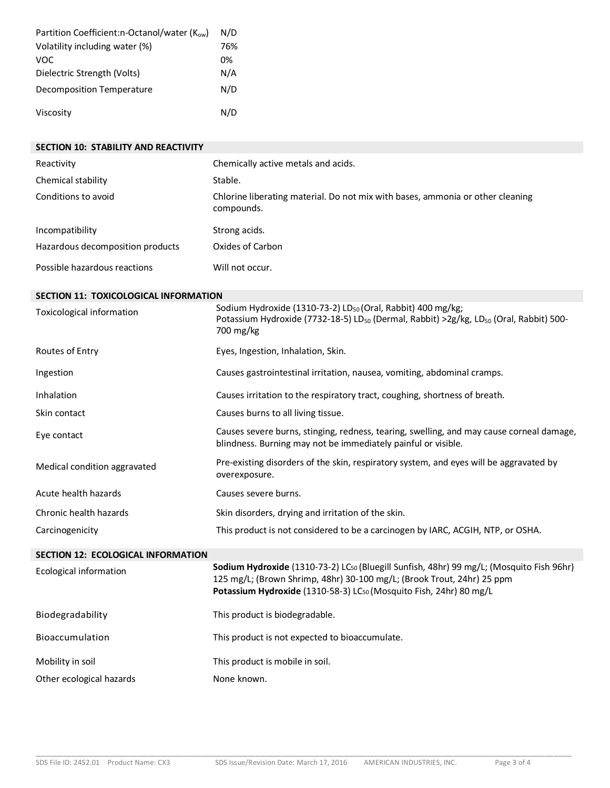| Partition Coefficient:n-Octanol/water (Kow) | N/D |
|---------------------------------------------|-----|
| Volatility including water (%)              | 76% |
| VOC                                         | በ%  |
| Dielectric Strength (Volts)                 | N/A |
| Decomposition Temperature                   | N/D |
| Viscosity                                   | N/D |

| SECTION 10: STABILITY AND REACTIVITY      |                                                                                                                                                                                                                                                      |
|-------------------------------------------|------------------------------------------------------------------------------------------------------------------------------------------------------------------------------------------------------------------------------------------------------|
| Reactivity                                | Chemically active metals and acids.                                                                                                                                                                                                                  |
| Chemical stability                        | Stable.                                                                                                                                                                                                                                              |
| Conditions to avoid                       | Chlorine liberating material. Do not mix with bases, ammonia or other cleaning<br>compounds.                                                                                                                                                         |
| Incompatibility                           | Strong acids.                                                                                                                                                                                                                                        |
| Hazardous decomposition products          | Oxides of Carbon                                                                                                                                                                                                                                     |
| Possible hazardous reactions              | Will not occur.                                                                                                                                                                                                                                      |
| SECTION 11: TOXICOLOGICAL INFORMATION     |                                                                                                                                                                                                                                                      |
| Toxicological information                 | Sodium Hydroxide (1310-73-2) LD <sub>50</sub> (Oral, Rabbit) 400 mg/kg;<br>Potassium Hydroxide (7732-18-5) LD <sub>50</sub> (Dermal, Rabbit) > 2g/kg, LD <sub>50</sub> (Oral, Rabbit) 500-<br>700 mg/kg                                              |
| Routes of Entry                           | Eyes, Ingestion, Inhalation, Skin.                                                                                                                                                                                                                   |
| Ingestion                                 | Causes gastrointestinal irritation, nausea, vomiting, abdominal cramps.                                                                                                                                                                              |
| Inhalation                                | Causes irritation to the respiratory tract, coughing, shortness of breath.                                                                                                                                                                           |
| Skin contact                              | Causes burns to all living tissue.                                                                                                                                                                                                                   |
| Eye contact                               | Causes severe burns, stinging, redness, tearing, swelling, and may cause corneal damage,<br>blindness. Burning may not be immediately painful or visible.                                                                                            |
| Medical condition aggravated              | Pre-existing disorders of the skin, respiratory system, and eyes will be aggravated by<br>overexposure.                                                                                                                                              |
| Acute health hazards                      | Causes severe burns.                                                                                                                                                                                                                                 |
| Chronic health hazards                    | Skin disorders, drying and irritation of the skin.                                                                                                                                                                                                   |
| Carcinogenicity                           | This product is not considered to be a carcinogen by IARC, ACGIH, NTP, or OSHA.                                                                                                                                                                      |
| <b>SECTION 12: ECOLOGICAL INFORMATION</b> |                                                                                                                                                                                                                                                      |
| Ecological information                    | Sodium Hydroxide (1310-73-2) LCso (Bluegill Sunfish, 48hr) 99 mg/L; (Mosquito Fish 96hr)<br>125 mg/L; (Brown Shrimp, 48hr) 30-100 mg/L; (Brook Trout, 24hr) 25 ppm<br>Potassium Hydroxide (1310-58-3) LC <sub>50</sub> (Mosquito Fish, 24hr) 80 mg/L |
| Biodegradability                          | This product is biodegradable.                                                                                                                                                                                                                       |
| Bioaccumulation                           | This product is not expected to bioaccumulate.                                                                                                                                                                                                       |
| Mobility in soil                          | This product is mobile in soil.                                                                                                                                                                                                                      |

Other ecological hazards None known.

\_\_\_\_\_\_\_\_\_\_\_\_\_\_\_\_\_\_\_\_\_\_\_\_\_\_\_\_\_\_\_\_\_\_\_\_\_\_\_\_\_\_\_\_\_\_\_\_\_\_\_\_\_\_\_\_\_\_\_\_\_\_\_\_\_\_\_\_\_\_\_\_\_\_\_\_\_\_\_\_\_\_\_\_\_\_\_\_\_\_\_\_\_\_\_\_\_\_\_\_\_\_\_\_\_\_\_\_\_\_\_\_\_\_\_\_\_\_\_\_